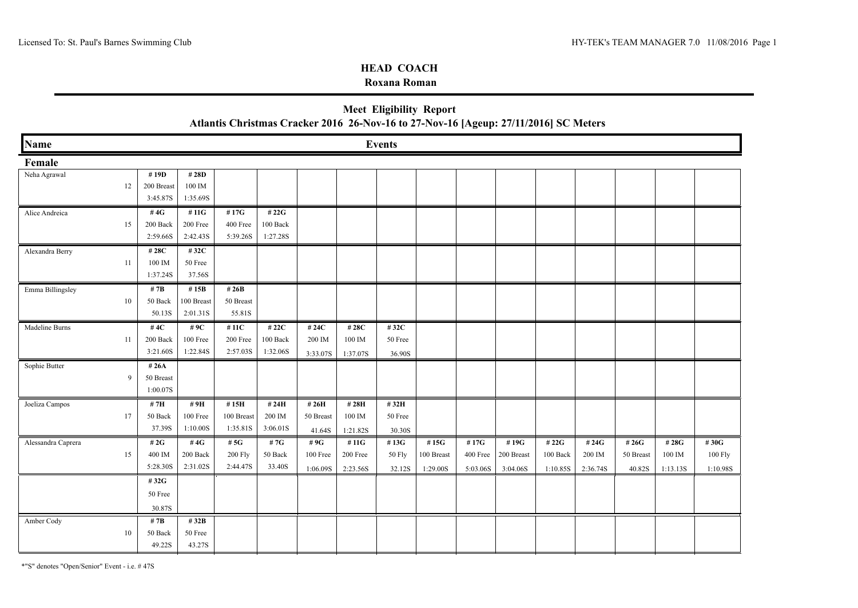### **Roxana Roman**

| <b>Meet Eligibility Report</b>                                                       |
|--------------------------------------------------------------------------------------|
| Atlantis Christmas Cracker 2016 26-Nov-16 to 27-Nov-16 [Ageup: 27/11/2016] SC Meters |

| Name               |    |            |            |            |          |           |          | <b>Events</b> |            |          |            |          |          |           |          |          |
|--------------------|----|------------|------------|------------|----------|-----------|----------|---------------|------------|----------|------------|----------|----------|-----------|----------|----------|
| Female             |    |            |            |            |          |           |          |               |            |          |            |          |          |           |          |          |
| Neha Agrawal       |    | #19D       | # 28D      |            |          |           |          |               |            |          |            |          |          |           |          |          |
|                    | 12 | 200 Breast | 100 IM     |            |          |           |          |               |            |          |            |          |          |           |          |          |
|                    |    | 3:45.87S   | 1:35.69S   |            |          |           |          |               |            |          |            |          |          |           |          |          |
| Alice Andreica     |    | #4 $G$     | #11G       | #17G       | # 22G    |           |          |               |            |          |            |          |          |           |          |          |
|                    | 15 | 200 Back   | 200 Free   | 400 Free   | 100 Back |           |          |               |            |          |            |          |          |           |          |          |
|                    |    | 2:59.66S   | 2:42.43S   | 5:39.26S   | 1:27.28S |           |          |               |            |          |            |          |          |           |          |          |
| Alexandra Berry    |    | #28C       | #32C       |            |          |           |          |               |            |          |            |          |          |           |          |          |
|                    | 11 | 100 IM     | 50 Free    |            |          |           |          |               |            |          |            |          |          |           |          |          |
|                    |    | 1:37.24S   | 37.56S     |            |          |           |          |               |            |          |            |          |          |           |          |          |
| Emma Billingsley   |    | # $7B$     | # $15B$    | # $26B$    |          |           |          |               |            |          |            |          |          |           |          |          |
|                    | 10 | 50 Back    | 100 Breast | 50 Breast  |          |           |          |               |            |          |            |          |          |           |          |          |
|                    |    | 50.13S     | 2:01.31S   | 55.81S     |          |           |          |               |            |          |            |          |          |           |          |          |
| Madeline Burns     |    | #4 $C$     | #9C        | # 11C      | # 22C    | # 24C     | #28C     | #32C          |            |          |            |          |          |           |          |          |
|                    | 11 | 200 Back   | 100 Free   | 200 Free   | 100 Back | 200 IM    | 100 IM   | 50 Free       |            |          |            |          |          |           |          |          |
|                    |    | 3:21.60S   | 1:22.84S   | 2:57.03S   | 1:32.06S | 3:33.07S  | 1:37.07S | 36.90S        |            |          |            |          |          |           |          |          |
| Sophie Butter      |    | #26A       |            |            |          |           |          |               |            |          |            |          |          |           |          |          |
|                    | 9  | 50 Breast  |            |            |          |           |          |               |            |          |            |          |          |           |          |          |
|                    |    | 1:00.07S   |            |            |          |           |          |               |            |          |            |          |          |           |          |          |
| Joeliza Campos     |    | # 7H       | #9H        | #15H       | # 24H    | # 26H     | #28H     | #32H          |            |          |            |          |          |           |          |          |
|                    | 17 | 50 Back    | 100 Free   | 100 Breast | 200 IM   | 50 Breast | 100 IM   | 50 Free       |            |          |            |          |          |           |          |          |
|                    |    | 37.39S     | 1:10.00S   | 1:35.81S   | 3:06.01S | 41.64S    | 1:21.82S | 30.30S        |            |          |            |          |          |           |          |          |
| Alessandra Caprera |    | # $2G$     | #4 $G$     | # $5G$     | #7G      | #9G       | #11G     | #13G          | #15G       | #17G     | #19G       | #22G     | #24G     | #26G      | #28G     | #30G     |
|                    | 15 | 400 IM     | 200 Back   | 200 Fly    | 50 Back  | 100 Free  | 200 Free | 50 Fly        | 100 Breast | 400 Free | 200 Breast | 100 Back | 200 IM   | 50 Breast | 100 IM   | 100 Fly  |
|                    |    | 5:28.30S   | 2:31.02S   | 2:44.47S   | 33.40S   | 1:06.09S  | 2:23.56S | 32.12S        | 1:29.00S   | 5:03.06S | 3:04.06S   | 1:10.85S | 2:36.74S | 40.82S    | 1:13.13S | 1:10.98S |
|                    |    | #32G       |            |            |          |           |          |               |            |          |            |          |          |           |          |          |
|                    |    | 50 Free    |            |            |          |           |          |               |            |          |            |          |          |           |          |          |
|                    |    | 30.87S     |            |            |          |           |          |               |            |          |            |          |          |           |          |          |
| Amber Cody         |    | # $7B$     | #32B       |            |          |           |          |               |            |          |            |          |          |           |          |          |
|                    | 10 | 50 Back    | 50 Free    |            |          |           |          |               |            |          |            |          |          |           |          |          |
|                    |    | 49.22S     | 43.27S     |            |          |           |          |               |            |          |            |          |          |           |          |          |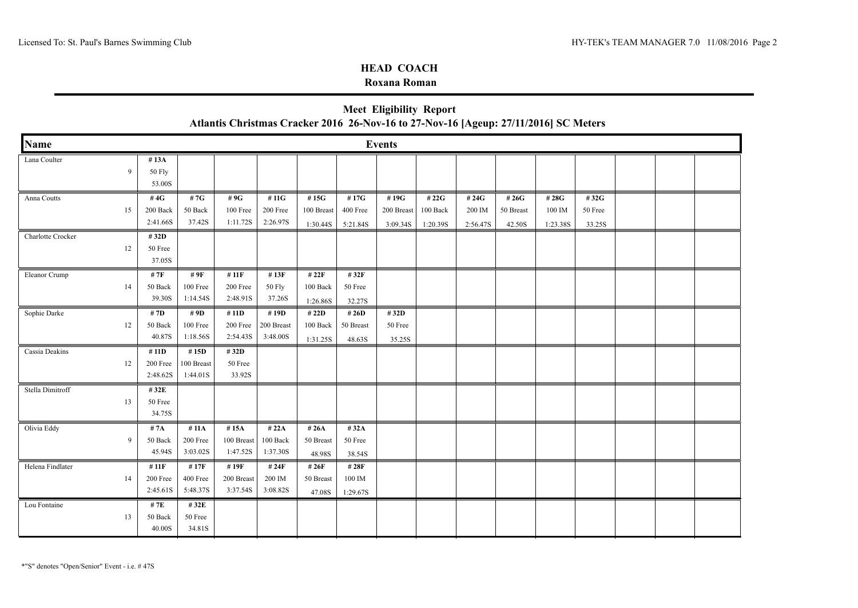### **Roxana Roman**

|                   |    |                                 |                                | Atlantis Christmas Cracker 2016 26-Nov-16 to 27-Nov-16 [Ageup: 27/11/2016] SC Meters |                                 |                                |                              |                                |                               |                             |                              |                            |                           |  |  |
|-------------------|----|---------------------------------|--------------------------------|--------------------------------------------------------------------------------------|---------------------------------|--------------------------------|------------------------------|--------------------------------|-------------------------------|-----------------------------|------------------------------|----------------------------|---------------------------|--|--|
| Name              |    |                                 |                                |                                                                                      |                                 |                                |                              | <b>Events</b>                  |                               |                             |                              |                            |                           |  |  |
| Lana Coulter      | 9  | #13A<br><b>50 Fly</b><br>53.00S |                                |                                                                                      |                                 |                                |                              |                                |                               |                             |                              |                            |                           |  |  |
| Anna Coutts       | 15 | #4G<br>200 Back<br>2:41.66S     | #7G<br>50 Back<br>37.42S       | #9G<br>100 Free<br>1:11.72S                                                          | #11G<br>200 Free<br>2:26.97S    | #15G<br>100 Breast<br>1:30.44S | #17G<br>400 Free<br>5:21.84S | #19G<br>200 Breast<br>3:09.34S | # 22G<br>100 Back<br>1:20.39S | # 24G<br>200 IM<br>2:56.47S | # 26G<br>50 Breast<br>42.50S | #28G<br>100 IM<br>1:23.38S | #32G<br>50 Free<br>33.25S |  |  |
| Charlotte Crocker | 12 | #32D<br>50 Free<br>37.05S       |                                |                                                                                      |                                 |                                |                              |                                |                               |                             |                              |                            |                           |  |  |
| Eleanor Crump     | 14 | # 7F<br>50 Back<br>39.30S       | # 9F<br>100 Free<br>1:14.54S   | # 11F<br>200 Free<br>2:48.91S                                                        | #13F<br>50 Fly<br>37.26S        | #22F<br>100 Back<br>1:26.86S   | #32F<br>50 Free<br>32.27S    |                                |                               |                             |                              |                            |                           |  |  |
| Sophie Darke      | 12 | #7D<br>50 Back<br>40.87S        | # 9D<br>100 Free<br>1:18.56S   | #11D<br>200 Free<br>2:54.43S                                                         | #19D<br>200 Breast<br>3:48.00S  | #22D<br>100 Back<br>1:31.25S   | #26D<br>50 Breast<br>48.63S  | #32D<br>50 Free<br>35.25S      |                               |                             |                              |                            |                           |  |  |
| Cassia Deakins    | 12 | #11D<br>200 Free<br>2:48.62S    | #15D<br>100 Breast<br>1:44.01S | #32D<br>50 Free<br>33.92S                                                            |                                 |                                |                              |                                |                               |                             |                              |                            |                           |  |  |
| Stella Dimitroff  | 13 | #32E<br>50 Free<br>34.75S       |                                |                                                                                      |                                 |                                |                              |                                |                               |                             |                              |                            |                           |  |  |
| Olivia Eddy       | 9  | # 7A<br>50 Back<br>45.94S       | #11A<br>200 Free<br>3:03.02S   | #15A<br>100 Breast<br>1:47.52S                                                       | # $22A$<br>100 Back<br>1:37.30S | #26A<br>50 Breast<br>48.98S    | # 32A<br>50 Free<br>38.54S   |                                |                               |                             |                              |                            |                           |  |  |
| Helena Findlater  | 14 | #11F<br>200 Free<br>2:45.61S    | #17F<br>400 Free<br>5:48.37S   | #19F<br>200 Breast<br>3:37.54S                                                       | #24F<br>200 IM<br>3:08.82S      | #26F<br>50 Breast<br>47.08S    | #28F<br>100 IM<br>1:29.67S   |                                |                               |                             |                              |                            |                           |  |  |
| Lou Fontaine      | 13 | # 7E<br>50 Back<br>40.00S       | #32E<br>50 Free<br>34.81S      |                                                                                      |                                 |                                |                              |                                |                               |                             |                              |                            |                           |  |  |

# **Meet Eligibility Report**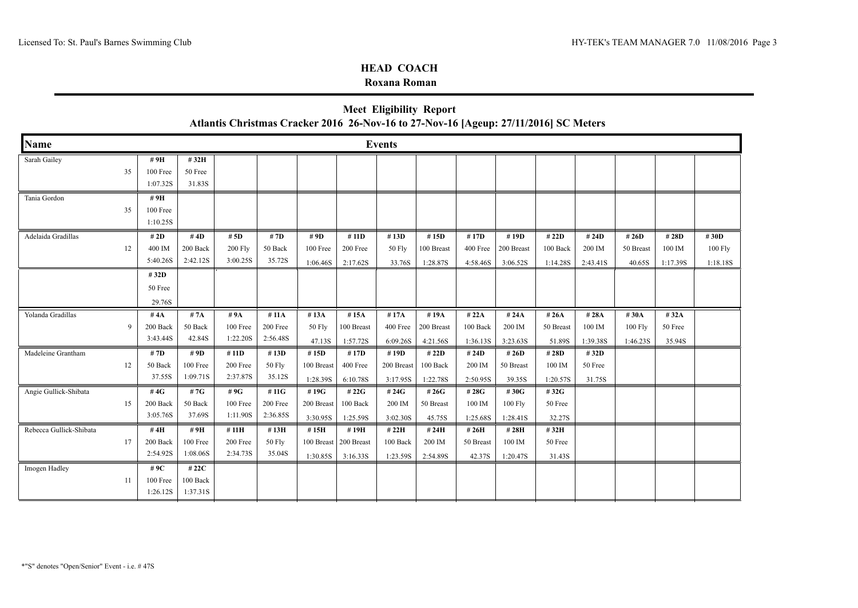### **Roxana Roman**

|                         |    |                                 |                               | Atlantis Christmas Cracker 2016 26-Nov-16 to 27-Nov-16 [Ageup: 27/11/2016] SC Meters |                               |                                |                                |                                |                                |                                |                                |                              |                             |                              |                            |                               |
|-------------------------|----|---------------------------------|-------------------------------|--------------------------------------------------------------------------------------|-------------------------------|--------------------------------|--------------------------------|--------------------------------|--------------------------------|--------------------------------|--------------------------------|------------------------------|-----------------------------|------------------------------|----------------------------|-------------------------------|
| <b>Name</b>             |    |                                 |                               |                                                                                      |                               |                                |                                | <b>Events</b>                  |                                |                                |                                |                              |                             |                              |                            |                               |
| Sarah Gailey            | 35 | #9H<br>100 Free<br>1:07.32S     | #32H<br>50 Free<br>31.83S     |                                                                                      |                               |                                |                                |                                |                                |                                |                                |                              |                             |                              |                            |                               |
| Tania Gordon            | 35 | # 9H<br>100 Free<br>1:10.25S    |                               |                                                                                      |                               |                                |                                |                                |                                |                                |                                |                              |                             |                              |                            |                               |
| Adelaida Gradillas      | 12 | # 2D<br>400 IM<br>5:40.26S      | #4D<br>200 Back<br>2:42.12S   | # $5D$<br><b>200 Fly</b><br>3:00.25S                                                 | # 7D<br>50 Back<br>35.72S     | # $9D$<br>100 Free<br>1:06.46S | # 11D<br>200 Free<br>2:17.62S  | #13D<br>50 Fly<br>33.76S       | #15D<br>100 Breast<br>1:28.87S | #17D<br>400 Free<br>4:58.46S   | #19D<br>200 Breast<br>3:06.52S | #22D<br>100 Back<br>1:14.28S | # 24D<br>200 IM<br>2:43.41S | # 26D<br>50 Breast<br>40.65S | #28D<br>100 IM<br>1:17.39S | #30D<br>$100$ Fly<br>1:18.18S |
|                         |    | #32D<br>50 Free<br>29.76S       |                               |                                                                                      |                               |                                |                                |                                |                                |                                |                                |                              |                             |                              |                            |                               |
| Yolanda Gradillas       | 9  | # $4A$<br>200 Back<br>3:43.44S  | #7A<br>50 Back<br>42.84S      | #9A<br>100 Free<br>1:22.20S                                                          | # 11A<br>200 Free<br>2:56.48S | #13A<br>50 Fly<br>47.13S       | #15A<br>100 Breast<br>1:57.72S | #17A<br>400 Free<br>6:09.26S   | #19A<br>200 Breast<br>4:21.56S | #22A<br>100 Back<br>1:36.13S   | #24A<br>200 IM<br>3:23.63S     | #26A<br>50 Breast<br>51.89S  | #28A<br>100 IM<br>1:39.38S  | #30A<br>100 Fly<br>1:46.23S  | #32A<br>50 Free<br>35.94S  |                               |
| Madeleine Grantham      | 12 | # 7D<br>50 Back<br>37.55S       | #9D<br>100 Free<br>1:09.71S   | #11D<br>200 Free<br>2:37.87S                                                         | #13D<br>50 Fly<br>35.12S      | #15D<br>100 Breast<br>1:28.39S | #17D<br>400 Free<br>6:10.78S   | #19D<br>200 Breast<br>3:17.95S | #22D<br>100 Back<br>1:22.78S   | # 24 $D$<br>200 IM<br>2:50.95S | # $26D$<br>50 Breast<br>39.35S | #28D<br>100 IM<br>1:20.57S   | #32D<br>50 Free<br>31.75S   |                              |                            |                               |
| Angie Gullick-Shibata   | 15 | #4G<br>200 Back<br>3:05.76S     | #7G<br>50 Back<br>37.69S      | #9G<br>100 Free<br>1:11.90S                                                          | #11G<br>200 Free<br>2:36.85S  | #19G<br>200 Breast<br>3:30.95S | # 22G<br>100 Back<br>1:25.59S  | # 24G<br>200 IM<br>3:02.30S    | #26G<br>50 Breast<br>45.75S    | # 28G<br>100 IM<br>1:25.68S    | #30G<br>100 Fly<br>1:28.41S    | #32G<br>50 Free<br>32.27S    |                             |                              |                            |                               |
| Rebecca Gullick-Shibata | 17 | #4H<br>200 Back<br>2:54.92S     | #9H<br>100 Free<br>1:08.06S   | #11H<br>200 Free<br>2:34.73S                                                         | #13H<br>50 Fly<br>35.04S      | #15H<br>100 Breast<br>1:30.85S | #19H<br>200 Breast<br>3:16.33S | # 22H<br>100 Back<br>1:23.59S  | #24H<br>200 IM<br>2:54.89S     | #26H<br>50 Breast<br>42.37S    | #28H<br>100 IM<br>1:20.47S     | #32H<br>50 Free<br>31.43S    |                             |                              |                            |                               |
| Imogen Hadley           | 11 | # 9 $C$<br>100 Free<br>1:26.12S | # 22C<br>100 Back<br>1:37.31S |                                                                                      |                               |                                |                                |                                |                                |                                |                                |                              |                             |                              |                            |                               |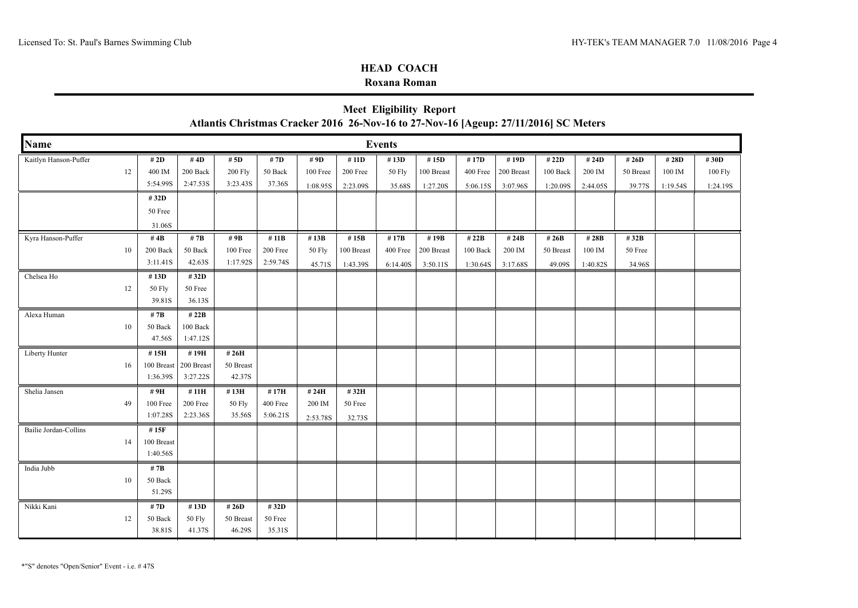### **Roxana Roman**

|                       | <b>Meet Eligibility Report</b><br>Atlantis Christmas Cracker 2016 26-Nov-16 to 27-Nov-16 [Ageup: 27/11/2016] SC Meters |                                |                                |                                      |                                  |                              |                                |                                 |                                |                               |                                |                               |                             |                              |                             |                             |
|-----------------------|------------------------------------------------------------------------------------------------------------------------|--------------------------------|--------------------------------|--------------------------------------|----------------------------------|------------------------------|--------------------------------|---------------------------------|--------------------------------|-------------------------------|--------------------------------|-------------------------------|-----------------------------|------------------------------|-----------------------------|-----------------------------|
| <b>Name</b>           |                                                                                                                        |                                |                                |                                      |                                  |                              |                                | <b>Events</b>                   |                                |                               |                                |                               |                             |                              |                             |                             |
| Kaitlyn Hanson-Puffer | 12                                                                                                                     | # 2D<br>400 IM<br>5:54.99S     | #4D<br>200 Back<br>2:47.53S    | # $5D$<br><b>200 Fly</b><br>3:23.43S | #7D<br>50 Back<br>37.36S         | # 9D<br>100 Free<br>1:08.95S | #11D<br>200 Free<br>2:23.09S   | #13D<br><b>50 Fly</b><br>35.68S | #15D<br>100 Breast<br>1:27.20S | #17D<br>400 Free<br>5:06.15S  | #19D<br>200 Breast<br>3:07.96S | # 22D<br>100 Back<br>1:20.09S | # 24D<br>200 IM<br>2:44.05S | # 26D<br>50 Breast<br>39.77S | # 28D<br>100 IM<br>1:19.54S | #30D<br>100 Fly<br>1:24.19S |
|                       |                                                                                                                        | #32D<br>50 Free<br>31.06S      |                                |                                      |                                  |                              |                                |                                 |                                |                               |                                |                               |                             |                              |                             |                             |
| Kyra Hanson-Puffer    | 10                                                                                                                     | #4B<br>200 Back<br>3:11.41S    | # $7B$<br>50 Back<br>42.63S    | # 9B<br>100 Free<br>1:17.92S         | # 11 $B$<br>200 Free<br>2:59.74S | #13B<br>50 Fly<br>45.71S     | #15B<br>100 Breast<br>1:43.39S | #17B<br>400 Free<br>6:14.40S    | #19B<br>200 Breast<br>3:50.11S | # 22B<br>100 Back<br>1:30.64S | #24B<br>200 IM<br>3:17.68S     | # 26B<br>50 Breast<br>49.09S  | #28B<br>100 IM<br>1:40.82S  | #32B<br>50 Free<br>34.96S    |                             |                             |
| Chelsea Ho            | 12                                                                                                                     | #13D<br>50 Fly<br>39.81S       | #32D<br>50 Free<br>36.13S      |                                      |                                  |                              |                                |                                 |                                |                               |                                |                               |                             |                              |                             |                             |
| Alexa Human           | 10                                                                                                                     | # 7B<br>50 Back<br>47.56S      | # 22B<br>100 Back<br>1:47.12S  |                                      |                                  |                              |                                |                                 |                                |                               |                                |                               |                             |                              |                             |                             |
| Liberty Hunter        | 16                                                                                                                     | #15H<br>100 Breast<br>1:36.39S | #19H<br>200 Breast<br>3:27.22S | #26H<br>50 Breast<br>42.37S          |                                  |                              |                                |                                 |                                |                               |                                |                               |                             |                              |                             |                             |
| Shelia Jansen         | 49                                                                                                                     | #9H<br>100 Free<br>1:07.28S    | #11H<br>200 Free<br>2:23.36S   | #13H<br>50 Fly<br>35.56S             | #17H<br>400 Free<br>5:06.21S     | # 24H<br>200 IM<br>2:53.78S  | #32H<br>50 Free<br>32.73S      |                                 |                                |                               |                                |                               |                             |                              |                             |                             |
| Bailie Jordan-Collins | 14                                                                                                                     | #15F<br>100 Breast<br>1:40.56S |                                |                                      |                                  |                              |                                |                                 |                                |                               |                                |                               |                             |                              |                             |                             |
| India Jubb            | 10                                                                                                                     | # $7B$<br>50 Back<br>51.29S    |                                |                                      |                                  |                              |                                |                                 |                                |                               |                                |                               |                             |                              |                             |                             |
| Nikki Kani            | 12                                                                                                                     | # 7D<br>50 Back<br>38.81S      | #13D<br>50 Fly<br>41.37S       | # 26D<br>50 Breast<br>46.29S         | #32D<br>50 Free<br>35.31S        |                              |                                |                                 |                                |                               |                                |                               |                             |                              |                             |                             |

# **Meet Eligibility Report**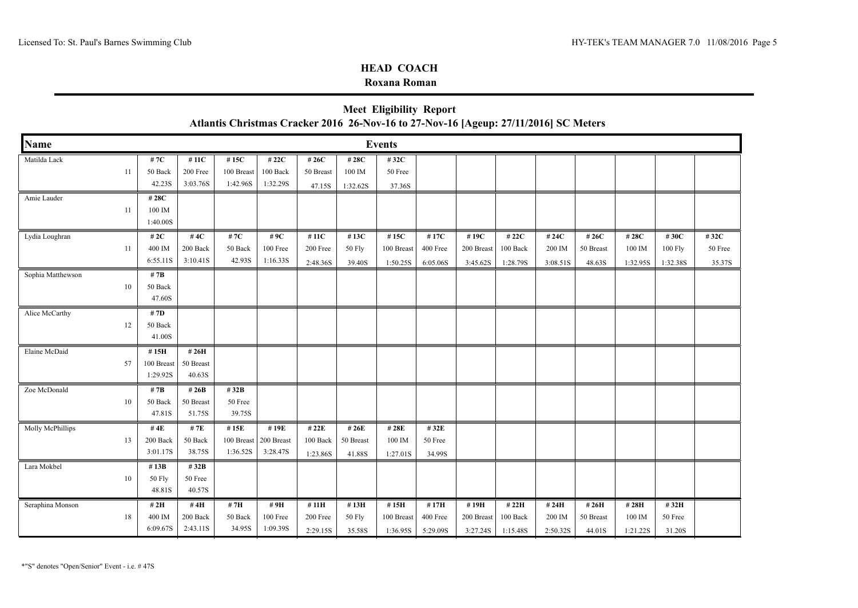### **Roxana Roman**

|                   | <b>NIEGL ENGIBILITY REPORT</b><br>Atlantis Christmas Cracker 2016 26-Nov-16 to 27-Nov-16 [Ageup: 27/11/2016] SC Meters |                                |                                |                                |                                |                               |                              |                                             |                              |                                |                                           |                             |                             |                             |                               |                           |
|-------------------|------------------------------------------------------------------------------------------------------------------------|--------------------------------|--------------------------------|--------------------------------|--------------------------------|-------------------------------|------------------------------|---------------------------------------------|------------------------------|--------------------------------|-------------------------------------------|-----------------------------|-----------------------------|-----------------------------|-------------------------------|---------------------------|
| <b>Name</b>       |                                                                                                                        |                                |                                |                                |                                |                               |                              | <b>Events</b>                               |                              |                                |                                           |                             |                             |                             |                               |                           |
| Matilda Lack      | 11                                                                                                                     | #7C<br>50 Back<br>42.23S       | #11C<br>200 Free<br>3:03.76S   | #15C<br>100 Breast<br>1:42.96S | #22C<br>100 Back<br>1:32.29S   | #26C<br>50 Breast<br>47.15S   | #28C<br>100 IM<br>1:32.62S   | #32C<br>50 Free<br>37.36S                   |                              |                                |                                           |                             |                             |                             |                               |                           |
| Amie Lauder       | 11                                                                                                                     | # 28C<br>100 IM<br>1:40.00S    |                                |                                |                                |                               |                              |                                             |                              |                                |                                           |                             |                             |                             |                               |                           |
| Lydia Loughran    | 11                                                                                                                     | # $2C$<br>400 IM<br>6:55.11S   | #4C<br>200 Back<br>3:10.41S    | #7C<br>50 Back<br>42.93S       | #9C<br>100 Free<br>1:16.33S    | #11C<br>200 Free<br>2:48.36S  | #13C<br>50 Fly<br>39.40S     | #15C<br>100 Breast<br>1:50.25S              | #17C<br>400 Free<br>6:05.06S | #19C<br>200 Breast<br>3:45.62S | # 22C<br>100 Back<br>1:28.79S             | # 24C<br>200 IM<br>3:08.51S | #26C<br>50 Breast<br>48.63S | # 28C<br>100 IM<br>1:32.95S | #30C<br>$100$ Fly<br>1:32.38S | #32C<br>50 Free<br>35.37S |
| Sophia Matthewson | 10                                                                                                                     | # $7B$<br>50 Back<br>47.60S    |                                |                                |                                |                               |                              |                                             |                              |                                |                                           |                             |                             |                             |                               |                           |
| Alice McCarthy    | 12                                                                                                                     | # 7D<br>50 Back<br>41.00S      |                                |                                |                                |                               |                              |                                             |                              |                                |                                           |                             |                             |                             |                               |                           |
| Elaine McDaid     | 57                                                                                                                     | #15H<br>100 Breast<br>1:29.92S | #26H<br>50 Breast<br>40.63S    |                                |                                |                               |                              |                                             |                              |                                |                                           |                             |                             |                             |                               |                           |
| Zoe McDonald      | 10                                                                                                                     | # $7B$<br>50 Back<br>47.81S    | # $26B$<br>50 Breast<br>51.75S | #32B<br>50 Free<br>39.75S      |                                |                               |                              |                                             |                              |                                |                                           |                             |                             |                             |                               |                           |
| Molly McPhillips  | 13                                                                                                                     | #4E<br>200 Back<br>3:01.17S    | # 7E<br>50 Back<br>38.75S      | #15E<br>100 Breast<br>1:36.52S | #19E<br>200 Breast<br>3:28.47S | # 22E<br>100 Back<br>1:23.86S | # 26E<br>50 Breast<br>41.88S | # 28E<br>100 IM<br>1:27.01S                 | #32E<br>50 Free<br>34.99S    |                                |                                           |                             |                             |                             |                               |                           |
| Lara Mokbel       | 10                                                                                                                     | #13B<br>50 Fly<br>48.81S       | #32B<br>50 Free<br>40.57S      |                                |                                |                               |                              |                                             |                              |                                |                                           |                             |                             |                             |                               |                           |
| Seraphina Monson  | 18                                                                                                                     | #2H<br>400 IM<br>6:09.67S      | #4H<br>200 Back<br>2:43.11S    | #7H<br>50 Back<br>34.95S       | #9H<br>100 Free<br>1:09.39S    | #11H<br>200 Free<br>2:29.15S  | #13H<br>50 Fly<br>35.58S     | #15H<br>$100\,\,\mathrm{Breat}$<br>1:36.95S | #17H<br>400 Free<br>5:29.09S | #19H<br>200 Breast             | #22H<br>100 Back<br>$3:27.24S$   1:15.48S | #24H<br>200 IM<br>2:50.32S  | #26H<br>50 Breast<br>44.01S | #28H<br>100 IM<br>1:21.22S  | #32H<br>50 Free<br>31.20S     |                           |

# **Meet Eligibility Report**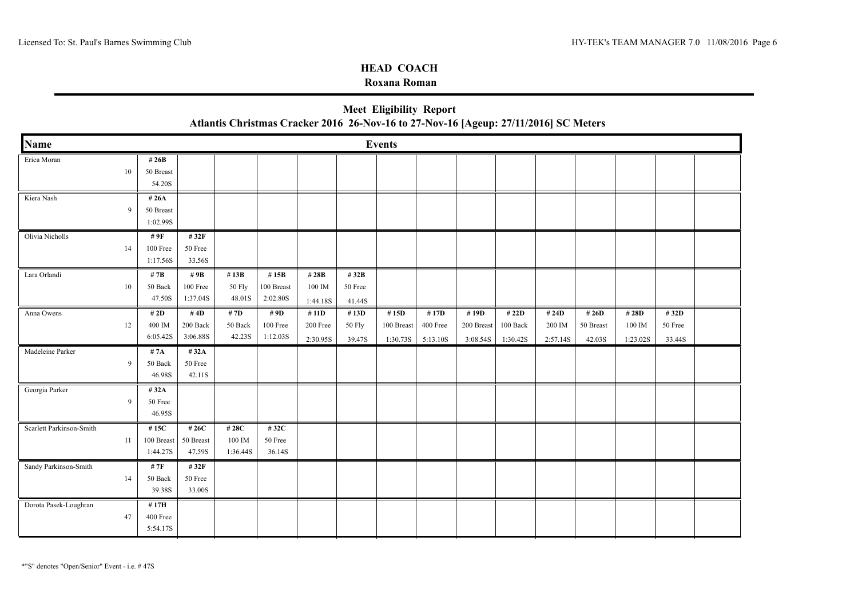### **Roxana Roman**

|                          |    |                                |                             | Atlantis Christmas Cracker 2016 26-Nov-16 to 27-Nov-16 [Ageup: 27/11/2016] SC Meters |                                   |                               |                           |                                |                              |                                |                               |                             |                              |                             |                           |  |
|--------------------------|----|--------------------------------|-----------------------------|--------------------------------------------------------------------------------------|-----------------------------------|-------------------------------|---------------------------|--------------------------------|------------------------------|--------------------------------|-------------------------------|-----------------------------|------------------------------|-----------------------------|---------------------------|--|
| <b>Name</b>              |    |                                |                             |                                                                                      |                                   |                               |                           | <b>Events</b>                  |                              |                                |                               |                             |                              |                             |                           |  |
| Erica Moran              | 10 | # $26B$<br>50 Breast<br>54.20S |                             |                                                                                      |                                   |                               |                           |                                |                              |                                |                               |                             |                              |                             |                           |  |
| Kiera Nash               | 9  | #26A<br>50 Breast<br>1:02.99S  |                             |                                                                                      |                                   |                               |                           |                                |                              |                                |                               |                             |                              |                             |                           |  |
| Olivia Nicholls          | 14 | # 9F<br>100 Free<br>1:17.56S   | #32F<br>50 Free<br>33.56S   |                                                                                      |                                   |                               |                           |                                |                              |                                |                               |                             |                              |                             |                           |  |
| Lara Orlandi             | 10 | # $7B$<br>50 Back<br>47.50S    | #9B<br>100 Free<br>1:37.04S | #13B<br>50 Fly<br>48.01S                                                             | #15 $B$<br>100 Breast<br>2:02.80S | # 28B<br>100 IM<br>1:44.18S   | #32B<br>50 Free<br>41.44S |                                |                              |                                |                               |                             |                              |                             |                           |  |
| Anna Owens               | 12 | # 2D<br>400 IM<br>6:05.42S     | #4D<br>200 Back<br>3:06.88S | # 7D<br>50 Back<br>42.23S                                                            | # 9D<br>100 Free<br>1:12.03S      | # 11D<br>200 Free<br>2:30.95S | #13D<br>50 Fly<br>39.47S  | #15D<br>100 Breast<br>1:30.73S | #17D<br>400 Free<br>5:13.10S | #19D<br>200 Breast<br>3:08.54S | # 22D<br>100 Back<br>1:30.42S | # 24D<br>200 IM<br>2:57.14S | # 26D<br>50 Breast<br>42.03S | # 28D<br>100 IM<br>1:23.02S | #32D<br>50 Free<br>33.44S |  |
| Madeleine Parker         | 9  | # 7A<br>50 Back<br>46.98S      | #32A<br>50 Free<br>42.11S   |                                                                                      |                                   |                               |                           |                                |                              |                                |                               |                             |                              |                             |                           |  |
| Georgia Parker           | 9  | #32A<br>50 Free<br>46.95S      |                             |                                                                                      |                                   |                               |                           |                                |                              |                                |                               |                             |                              |                             |                           |  |
| Scarlett Parkinson-Smith | 11 | #15C<br>100 Breast<br>1:44.27S | #26C<br>50 Breast<br>47.59S | #28C<br>100 IM<br>1:36.44S                                                           | #32C<br>50 Free<br>36.14S         |                               |                           |                                |                              |                                |                               |                             |                              |                             |                           |  |
| Sandy Parkinson-Smith    | 14 | #7F<br>50 Back<br>39.38S       | #32F<br>50 Free<br>33.00S   |                                                                                      |                                   |                               |                           |                                |                              |                                |                               |                             |                              |                             |                           |  |
| Dorota Pasek-Loughran    | 47 | #17H<br>400 Free<br>5:54.17S   |                             |                                                                                      |                                   |                               |                           |                                |                              |                                |                               |                             |                              |                             |                           |  |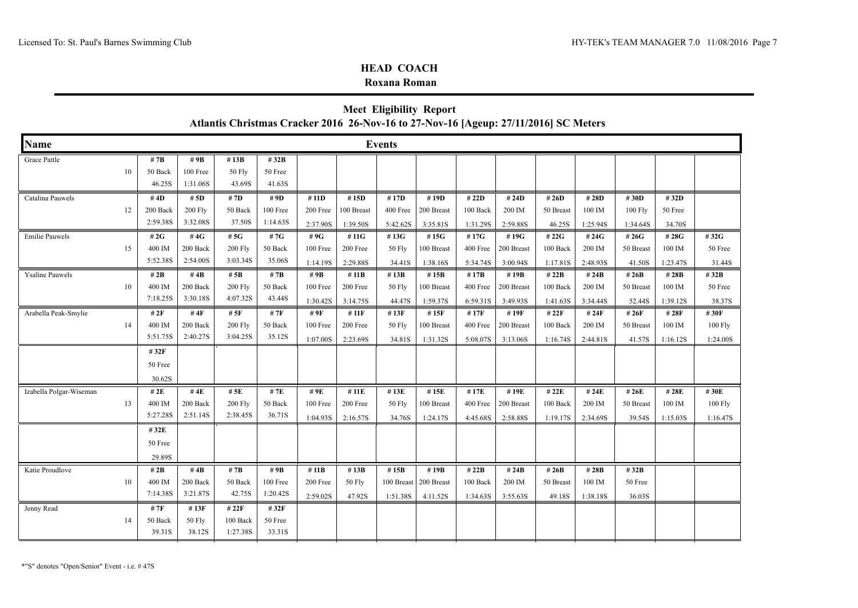### **Roxana Roman**

|                         |    |                   |                      | Atlantis Christmas Cracker 2016 26-Nov-16 to 27-Nov-16 [Ageup: 27/11/2016] SC Meters |                   |          |            |            | Meet Eligibility Report |          |            |                   |          |           |          |           |
|-------------------------|----|-------------------|----------------------|--------------------------------------------------------------------------------------|-------------------|----------|------------|------------|-------------------------|----------|------------|-------------------|----------|-----------|----------|-----------|
| Name                    |    |                   |                      |                                                                                      |                   |          |            | Events     |                         |          |            |                   |          |           |          |           |
| Grace Pattle            |    | # 7B              | # 9B                 | #13B                                                                                 | #32B              |          |            |            |                         |          |            |                   |          |           |          |           |
|                         | 10 | 50 Back<br>46.25S | 100 Free<br>1:31.06S | 50 Fly<br>43.69S                                                                     | 50 Free<br>41.63S |          |            |            |                         |          |            |                   |          |           |          |           |
| Catalina Pauwels        |    | #4D               | # 5D                 | # 7D                                                                                 | # 9D              | #11D     | #15D       | #17D       | #19D                    | #22D     | # $24D$    | #26D              | #28D     | #30D      | #32D     |           |
|                         | 12 | 200 Back          | <b>200 Fly</b>       | 50 Back                                                                              | 100 Free          | 200 Free | 100 Breast | 400 Free   | 200 Breast              | 100 Back | 200 IM     | 50 Breast         | 100 IM   | $100$ Fly | 50 Free  |           |
|                         |    | 2:59.38S          | 3:32.08S             | 37.50S                                                                               | 1:14.63S          | 2:37.90S | 1:39.50S   | 5:42.62S   | 3:35.81S                | 1:31.29S | 2:59.88S   | 46.25S            | 1:25.94S | 1:34.64S  | 34.70S   |           |
| <b>Emilie Pauwels</b>   |    | # $2G$            | #4G                  | # $5G$                                                                               | #7G               | #9G      | #11G       | #13G       | #15G                    | #17G     | #19G       | #22G              | #24G     | #26G      | #28G     | #32G      |
|                         | 15 | 400 IM            | 200 Back             | <b>200 Fly</b>                                                                       | 50 Back           | 100 Free | 200 Free   | 50 Fly     | 100 Breast              | 400 Free | 200 Breast | 100 Back          | 200 IM   | 50 Breast | 100 IM   | 50 Free   |
|                         |    | 5:52.38S          | 2:54.00S             | 3:03.34S                                                                             | 35.06S            | 1:14.19S | 2:29.88S   | 34.41S     | 1:38.16S                | 5:34.74S | 3:00.94S   | 1:17.81S          | 2:48.93S | 41.50S    | 1:23.47S | 31.44S    |
| <b>Ysaline Pauwels</b>  |    | # 2B              | #4 $B$               | # 5B                                                                                 | # 7B              | #9B      | #11B       | #13B       | #15B                    | #17B     | #19B       | #22B              | # 24B    | #26B      | #28B     | #32B      |
|                         | 10 | 400 IM            | 200 Back             | <b>200 Fly</b>                                                                       | 50 Back           | 100 Free | 200 Free   | 50 Fly     | 100 Breast              | 400 Free | 200 Breast | 100 Back          | 200 IM   | 50 Breast | 100 IM   | 50 Free   |
|                         |    | 7:18.25S          | 3:30.18S             | 4:07.32S                                                                             | 43.44S            | 1:30.42S | 3:14.75S   | 44.47S     | 1:59.37S                | 6:59.31S | 3:49.93S   | 1:41.63S          | 3:34.44S | 52.44S    | 1:39.12S | 38.37S    |
| Arabella Peak-Smylie    |    | #2F               | #4 $F$               | # $5F$                                                                               | # 7F              | # 9F     | # 11F      | #13F       | #15F                    | #17F     | #19F       | # 22F             | # 24F    | # 26F     | #28F     | #30F      |
|                         | 14 | 400 IM            | 200 Back             | 200 Fly                                                                              | 50 Back           | 100 Free | 200 Free   | 50 Fly     | 100 Breast              | 400 Free | 200 Breast | $100\text{ Back}$ | 200 IM   | 50 Breast | 100 IM   | $100$ Fly |
|                         |    | 5:51.75S          | 2:40.27S             | 3:04.25S                                                                             | 35.12S            | 1:07.00S | 2:23.69S   | 34.81S     | 1:31.32S                | 5:08.07S | 3:13.06S   | 1:16.74S          | 2:44.81S | 41.57S    | 1:16.12S | 1:24.00S  |
|                         |    | #32F              |                      |                                                                                      |                   |          |            |            |                         |          |            |                   |          |           |          |           |
|                         |    | 50 Free           |                      |                                                                                      |                   |          |            |            |                         |          |            |                   |          |           |          |           |
|                         |    | 30.62S            |                      |                                                                                      |                   |          |            |            |                         |          |            |                   |          |           |          |           |
| Izabella Polgar-Wiseman |    | # 2E              | #4E                  | #5E                                                                                  | #7E               | #9E      | #11E       | #13E       | #15E                    | #17E     | #19E       | # 22E             | #24E     | # 26E     | #28E     | #30E      |
|                         | 13 | 400 IM            | 200 Back             | <b>200 Fly</b>                                                                       | 50 Back           | 100 Free | 200 Free   | 50 Fly     | 100 Breast              | 400 Free | 200 Breast | 100 Back          | 200 IM   | 50 Breast | 100 IM   | 100 Fly   |
|                         |    | 5:27.28S          | 2:51.14S             | 2:38.45S                                                                             | 36.71S            | 1:04.93S | 2:16.57S   | 34.76S     | 1:24.17S                | 4:45.68S | 2:58.88S   | 1:19.17S          | 2:34.69S | 39.54S    | 1:15.03S | 1:16.47S  |
|                         |    | #32E              |                      |                                                                                      |                   |          |            |            |                         |          |            |                   |          |           |          |           |
|                         |    | 50 Free           |                      |                                                                                      |                   |          |            |            |                         |          |            |                   |          |           |          |           |
|                         |    | 29.89S            |                      |                                                                                      |                   |          |            |            |                         |          |            |                   |          |           |          |           |
| Katie Proudlove         |    | # 2B              | #4 $B$               | # 7B                                                                                 | #9B               | #11B     | #13B       | #15B       | #19B                    | # $22B$  | #24B       | # 26B             | #28B     | #32B      |          |           |
|                         | 10 | 400 IM            | 200 Back             | 50 Back                                                                              | 100 Free          | 200 Free | 50 Fly     | 100 Breast | 200 Breast              | 100 Back | 200 IM     | 50 Breast         | 100 IM   | 50 Free   |          |           |
|                         |    | 7:14.38S          | 3:21.87S             | 42.75S                                                                               | 1:20.42S          | 2:59.02S | 47.92S     | 1:51.38S   | 4:11.52S                | 1:34.63S | 3:55.63S   | 49.18S            | 1:38.18S | 36.03S    |          |           |
| Jenny Read              |    | # 7F              | #13F                 | # 22F                                                                                | #32F              |          |            |            |                         |          |            |                   |          |           |          |           |
|                         | 14 | 50 Back           | 50 Fly               | 100 Back                                                                             | 50 Free           |          |            |            |                         |          |            |                   |          |           |          |           |
|                         |    | 39.31S            | 38.12S               | 1:27.38S                                                                             | 33.31S            |          |            |            |                         |          |            |                   |          |           |          |           |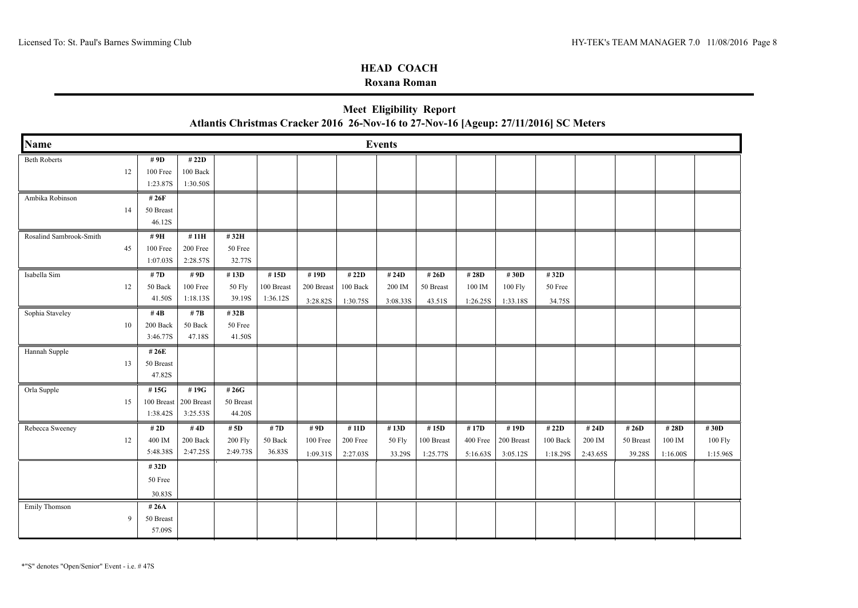### **Roxana Roman**

| Atlantis Christmas Cracker 2016 26-Nov-16 to 27-Nov-16 [Ageup: 27/11/2016] SC Meters |    |                                |                                |                                      |                                |                                |                               |                             |                                |                              |                                |                               |                             |                              |                             |                             |
|--------------------------------------------------------------------------------------|----|--------------------------------|--------------------------------|--------------------------------------|--------------------------------|--------------------------------|-------------------------------|-----------------------------|--------------------------------|------------------------------|--------------------------------|-------------------------------|-----------------------------|------------------------------|-----------------------------|-----------------------------|
| <b>Name</b>                                                                          |    |                                |                                |                                      |                                |                                |                               | <b>Events</b>               |                                |                              |                                |                               |                             |                              |                             |                             |
| <b>Beth Roberts</b>                                                                  | 12 | # 9D<br>100 Free<br>1:23.87S   | #22D<br>100 Back<br>1:30.50S   |                                      |                                |                                |                               |                             |                                |                              |                                |                               |                             |                              |                             |                             |
| Ambika Robinson                                                                      | 14 | #26F<br>50 Breast<br>46.12S    |                                |                                      |                                |                                |                               |                             |                                |                              |                                |                               |                             |                              |                             |                             |
| Rosalind Sambrook-Smith                                                              | 45 | #9H<br>100 Free<br>1:07.03S    | #11H<br>200 Free<br>2:28.57S   | #32H<br>50 Free<br>32.77S            |                                |                                |                               |                             |                                |                              |                                |                               |                             |                              |                             |                             |
| Isabella Sim                                                                         | 12 | # 7D<br>50 Back<br>41.50S      | # 9D<br>100 Free<br>1:18.13S   | #13D<br>50 Fly<br>39.19S             | #15D<br>100 Breast<br>1:36.12S | #19D<br>200 Breast<br>3:28.82S | # 22D<br>100 Back<br>1:30.75S | # 24D<br>200 IM<br>3:08.33S | # 26D<br>50 Breast<br>43.51S   | #28D<br>100 IM<br>1:26.25S   | #30D<br>100 Fly<br>1:33.18S    | #32D<br>50 Free<br>34.75S     |                             |                              |                             |                             |
| Sophia Staveley                                                                      | 10 | #4B<br>200 Back<br>3:46.77S    | #7B<br>50 Back<br>47.18S       | # 32 $B$<br>50 Free<br>41.50S        |                                |                                |                               |                             |                                |                              |                                |                               |                             |                              |                             |                             |
| Hannah Supple                                                                        | 13 | # 26E<br>50 Breast<br>47.82S   |                                |                                      |                                |                                |                               |                             |                                |                              |                                |                               |                             |                              |                             |                             |
| Orla Supple                                                                          | 15 | #15G<br>100 Breast<br>1:38.42S | #19G<br>200 Breast<br>3:25.53S | #26G<br>50 Breast<br>44.20S          |                                |                                |                               |                             |                                |                              |                                |                               |                             |                              |                             |                             |
| Rebecca Sweeney                                                                      | 12 | # 2D<br>400 IM<br>5:48.38S     | #4D<br>200 Back<br>2:47.25S    | # $5D$<br><b>200 Fly</b><br>2:49.73S | #7D<br>50 Back<br>36.83S       | # 9D<br>100 Free<br>1:09.31S   | #11D<br>200 Free<br>2:27.03S  | #13D<br>50 Fly<br>33.29S    | #15D<br>100 Breast<br>1:25.77S | #17D<br>400 Free<br>5:16.63S | #19D<br>200 Breast<br>3:05.12S | # 22D<br>100 Back<br>1:18.29S | # 24D<br>200 IM<br>2:43.65S | # 26D<br>50 Breast<br>39.28S | # 28D<br>100 IM<br>1:16.00S | #30D<br>100 Fly<br>1:15.96S |
|                                                                                      |    | #32D<br>50 Free<br>30.83S      |                                |                                      |                                |                                |                               |                             |                                |                              |                                |                               |                             |                              |                             |                             |
| Emily Thomson                                                                        | 9  | #26A<br>50 Breast<br>57.09S    |                                |                                      |                                |                                |                               |                             |                                |                              |                                |                               |                             |                              |                             |                             |

**Meet Eligibility Report**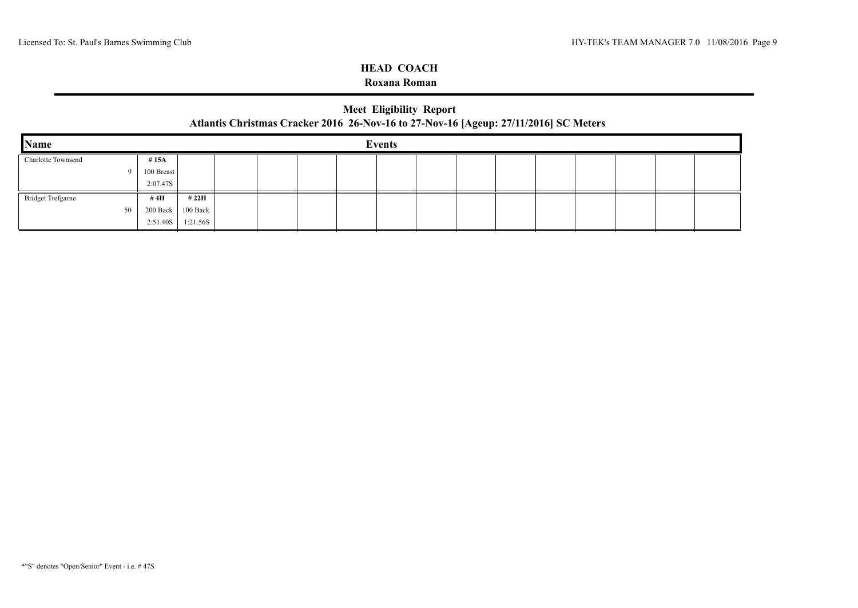### **Roxana Roman**

# **Meet Eligibility Report Atlantis Christmas Cracker 2016 26-Nov-16 to 27-Nov-16 [Ageup: 27/11/2016] SC Meters**

| $\mathbf{\mathbf{Name}}$ |            |          |  |  | <b>Events</b> |  |  |  |  |
|--------------------------|------------|----------|--|--|---------------|--|--|--|--|
| Charlotte Townsend       | #15A       |          |  |  |               |  |  |  |  |
|                          | 100 Breast |          |  |  |               |  |  |  |  |
|                          | 2:07.47S   |          |  |  |               |  |  |  |  |
| <b>Bridget Trefgarne</b> | # 4H       | # 22H    |  |  |               |  |  |  |  |
| 50                       | 200 Back   | 100 Back |  |  |               |  |  |  |  |
|                          | 2:51.40S   | 1:21.56S |  |  |               |  |  |  |  |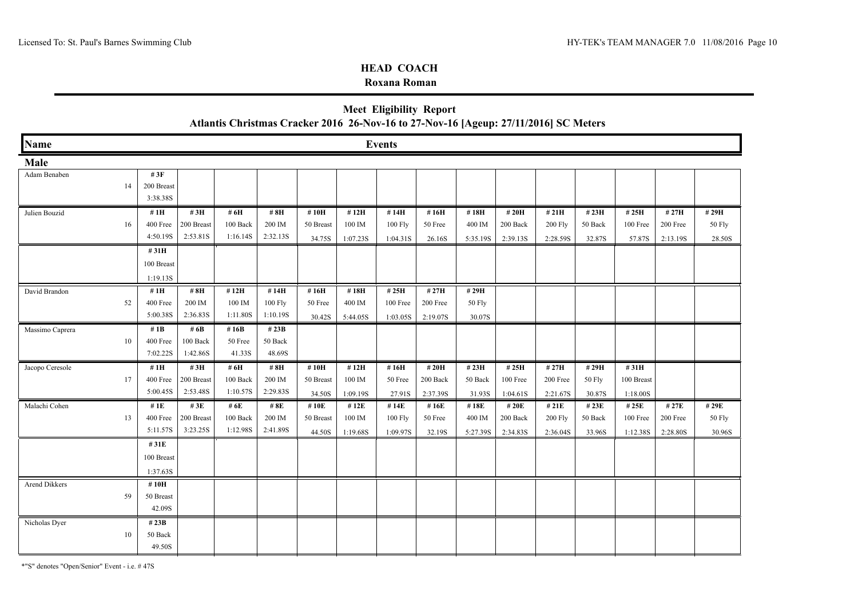#### **Roxana Roman**

# **Meet Eligibility Report Atlantis Christmas Cracker 2016 26-Nov-16 to 27-Nov-16 [Ageup: 27/11/2016] SC Meters**

| <b>Name</b>     |            |            |          |          |           |          | <b>Events</b> |          |          |          |          |         |            |          |        |
|-----------------|------------|------------|----------|----------|-----------|----------|---------------|----------|----------|----------|----------|---------|------------|----------|--------|
| Male            |            |            |          |          |           |          |               |          |          |          |          |         |            |          |        |
| Adam Benaben    | # $3F$     |            |          |          |           |          |               |          |          |          |          |         |            |          |        |
| 14              | 200 Breast |            |          |          |           |          |               |          |          |          |          |         |            |          |        |
|                 | 3:38.38S   |            |          |          |           |          |               |          |          |          |          |         |            |          |        |
| Julien Bouzid   | #1H        | # $3H$     | # 6H     | #8H      | #10H      | #12H     | #14H          | #16H     | #18H     | # 20H    | #21H     | #23H    | #25H       | #27H     | #29H   |
| 16              | 400 Free   | 200 Breast | 100 Back | 200 IM   | 50 Breast | 100 IM   | 100 Fly       | 50 Free  | 400 IM   | 200 Back | 200 Fly  | 50 Back | 100 Free   | 200 Free | 50 Fly |
|                 | 4:50.19S   | 2:53.81S   | 1:16.14S | 2:32.13S | 34.75S    | 1:07.23S | 1:04.31S      | 26.16S   | 5:35.19S | 2:39.13S | 2:28.59S | 32.87S  | 57.87S     | 2:13.19S | 28.50S |
|                 | #31H       |            |          |          |           |          |               |          |          |          |          |         |            |          |        |
|                 | 100 Breast |            |          |          |           |          |               |          |          |          |          |         |            |          |        |
|                 | 1:19.13S   |            |          |          |           |          |               |          |          |          |          |         |            |          |        |
| David Brandon   | #1 $H$     | #8H        | #12H     | #14H     | #16H      | #18H     | #25H          | # 27H    | #29H     |          |          |         |            |          |        |
| 52              | 400 Free   | 200 IM     | 100 IM   | 100 Fly  | 50 Free   | 400 IM   | 100 Free      | 200 Free | 50 Fly   |          |          |         |            |          |        |
|                 | 5:00.38S   | 2:36.83S   | 1:11.80S | 1:10.19S | 30.42S    | 5:44.05S | 1:03.05S      | 2:19.07S | 30.07S   |          |          |         |            |          |        |
| Massimo Caprera | # $1B$     | # $6B$     | #16 $B$  | # 23B    |           |          |               |          |          |          |          |         |            |          |        |
| 10              | 400 Free   | 100 Back   | 50 Free  | 50 Back  |           |          |               |          |          |          |          |         |            |          |        |
|                 | 7:02.22S   | 1:42.86S   | 41.33S   | 48.69S   |           |          |               |          |          |          |          |         |            |          |        |
| Jacopo Ceresole | #1 $H$     | #3H        | # 6H     | #8H      | #10H      | #12H     | #16H          | # 20H    | #23H     | #25H     | #27H     | #29H    | #31H       |          |        |
| 17              | 400 Free   | 200 Breast | 100 Back | 200 IM   | 50 Breast | 100 IM   | 50 Free       | 200 Back | 50 Back  | 100 Free | 200 Free | 50 Fly  | 100 Breast |          |        |
|                 | 5:00.45S   | 2:53.48S   | 1:10.57S | 2:29.83S | 34.50S    | 1:09.19S | 27.91S        | 2:37.39S | 31.93S   | 1:04.61S | 2:21.67S | 30.87S  | 1:18.00S   |          |        |
| Malachi Cohen   | # $1E$     | #3E        | # 6E     | # 8E     | #10E      | #12E     | #14E          | #16E     | #18E     | # 20E    | # 21E    | # 23E   | #25E       | #27E     | #29E   |
| 13              | 400 Free   | 200 Breast | 100 Back | 200 IM   | 50 Breast | 100 IM   | 100 Fly       | 50 Free  | 400 IM   | 200 Back | 200 Fly  | 50 Back | 100 Free   | 200 Free | 50 Fly |
|                 | 5:11.57S   | 3:23.25S   | 1:12.98S | 2:41.89S | 44.50S    | 1:19.68S | 1:09.97S      | 32.19S   | 5:27.39S | 2:34.83S | 2:36.04S | 33.96S  | 1:12.38S   | 2:28.80S | 30.96S |
|                 | #31E       |            |          |          |           |          |               |          |          |          |          |         |            |          |        |
|                 | 100 Breast |            |          |          |           |          |               |          |          |          |          |         |            |          |        |
|                 | 1:37.63S   |            |          |          |           |          |               |          |          |          |          |         |            |          |        |
| Arend Dikkers   | #10H       |            |          |          |           |          |               |          |          |          |          |         |            |          |        |
| 59              | 50 Breast  |            |          |          |           |          |               |          |          |          |          |         |            |          |        |
|                 | 42.09S     |            |          |          |           |          |               |          |          |          |          |         |            |          |        |
| Nicholas Dyer   | # $23B$    |            |          |          |           |          |               |          |          |          |          |         |            |          |        |
| 10              | 50 Back    |            |          |          |           |          |               |          |          |          |          |         |            |          |        |
|                 | 49.50S     |            |          |          |           |          |               |          |          |          |          |         |            |          |        |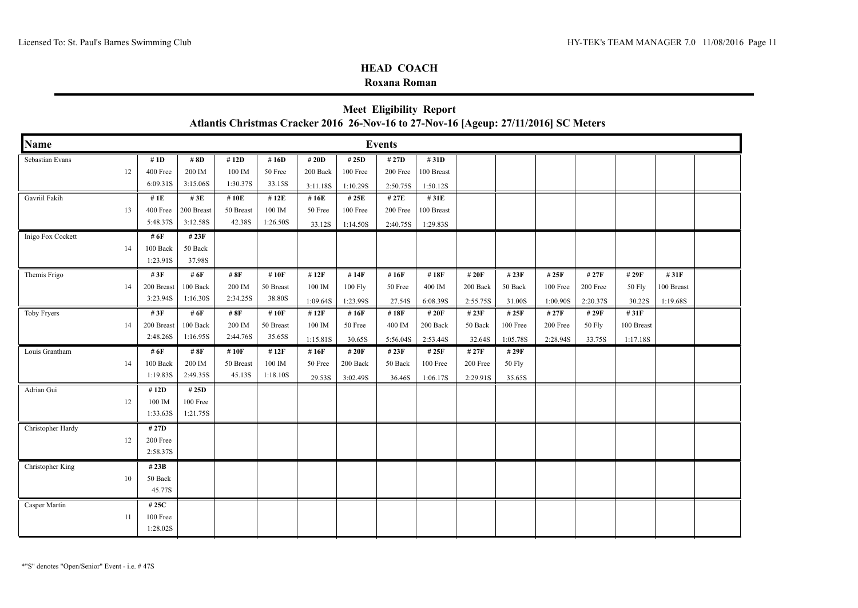#### **Roxana Roman**

|                   |     |                  |            |           |           |          |          |               |            |          |          |          |          |            |            | <b>Meet Eligibility Report</b><br>Atlantis Christmas Cracker 2016 26-Nov-16 to 27-Nov-16 [Ageup: 27/11/2016] SC Meters |  |  |  |  |  |  |  |  |  |  |  |  |  |
|-------------------|-----|------------------|------------|-----------|-----------|----------|----------|---------------|------------|----------|----------|----------|----------|------------|------------|------------------------------------------------------------------------------------------------------------------------|--|--|--|--|--|--|--|--|--|--|--|--|--|
| <b>Name</b>       |     |                  |            |           |           |          |          | <b>Events</b> |            |          |          |          |          |            |            |                                                                                                                        |  |  |  |  |  |  |  |  |  |  |  |  |  |
| Sebastian Evans   |     | # 1D             | #8D        | #12D      | #16D      | # 20D    | #25D     | #27D          | #31D       |          |          |          |          |            |            |                                                                                                                        |  |  |  |  |  |  |  |  |  |  |  |  |  |
|                   | 12  | 400 Free         | 200 IM     | 100 IM    | 50 Free   | 200 Back | 100 Free | 200 Free      | 100 Breast |          |          |          |          |            |            |                                                                                                                        |  |  |  |  |  |  |  |  |  |  |  |  |  |
|                   |     | 6:09.31S         | 3:15.06S   | 1:30.37S  | 33.15S    | 3:11.18S | 1:10.29S | 2:50.75S      | 1:50.12S   |          |          |          |          |            |            |                                                                                                                        |  |  |  |  |  |  |  |  |  |  |  |  |  |
| Gavriil Fakih     |     | # $1E$           | #3E        | #10E      | #12E      | #16E     | # 25E    | # 27E         | #31E       |          |          |          |          |            |            |                                                                                                                        |  |  |  |  |  |  |  |  |  |  |  |  |  |
|                   | 13  | 400 Free         | 200 Breast | 50 Breast | 100 IM    | 50 Free  | 100 Free | 200 Free      | 100 Breast |          |          |          |          |            |            |                                                                                                                        |  |  |  |  |  |  |  |  |  |  |  |  |  |
|                   |     | 5:48.37S         | 3:12.58S   | 42.38S    | 1:26.50S  | 33.12S   | 1:14.50S | 2:40.75S      | 1:29.83S   |          |          |          |          |            |            |                                                                                                                        |  |  |  |  |  |  |  |  |  |  |  |  |  |
| Inigo Fox Cockett |     | # 6F             | #23F       |           |           |          |          |               |            |          |          |          |          |            |            |                                                                                                                        |  |  |  |  |  |  |  |  |  |  |  |  |  |
|                   | 14  | 100 Back         | 50 Back    |           |           |          |          |               |            |          |          |          |          |            |            |                                                                                                                        |  |  |  |  |  |  |  |  |  |  |  |  |  |
|                   |     | 1:23.91S         | 37.98S     |           |           |          |          |               |            |          |          |          |          |            |            |                                                                                                                        |  |  |  |  |  |  |  |  |  |  |  |  |  |
| Themis Frigo      |     | # $3F$           | # $6F$     | # 8F      | #10F      | #12F     | #14F     | #16F          | #18F       | # 20F    | # 23F    | # 25F    | # 27F    | # 29F      | #31F       |                                                                                                                        |  |  |  |  |  |  |  |  |  |  |  |  |  |
|                   | 14  | 200 Breast       | 100 Back   | 200 IM    | 50 Breast | 100 IM   | 100 Fly  | 50 Free       | 400 IM     | 200 Back | 50 Back  | 100 Free | 200 Free | 50 Fly     | 100 Breast |                                                                                                                        |  |  |  |  |  |  |  |  |  |  |  |  |  |
|                   |     | 3:23.94S         | 1:16.30S   | 2:34.25S  | 38.80S    | 1:09.64S | 1:23.99S | 27.54S        | 6:08.39S   | 2:55.75S | 31.00S   | 1:00.90S | 2:20.37S | 30.22S     | 1:19.68S   |                                                                                                                        |  |  |  |  |  |  |  |  |  |  |  |  |  |
| Toby Fryers       |     | # $3F$           | # 6F       | #8F       | #10F      | #12F     | #16F     | #18F          | # 20F      | # 23F    | # 25F    | # 27F    | # 29F    | #31F       |            |                                                                                                                        |  |  |  |  |  |  |  |  |  |  |  |  |  |
|                   | 14  | 200 Breast       | 100 Back   | 200 IM    | 50 Breast | 100 IM   | 50 Free  | 400 IM        | 200 Back   | 50 Back  | 100 Free | 200 Free | 50 Fly   | 100 Breast |            |                                                                                                                        |  |  |  |  |  |  |  |  |  |  |  |  |  |
|                   |     | 2:48.26S         | 1:16.95S   | 2:44.76S  | 35.65S    | 1:15.81S | 30.65S   | 5:56.04S      | 2:53.44S   | 32.64S   | 1:05.78S | 2:28.94S | 33.75S   | 1:17.18S   |            |                                                                                                                        |  |  |  |  |  |  |  |  |  |  |  |  |  |
| Louis Grantham    |     | # 6F             | # $8F$     | #10F      | #12F      | #16F     | # 20F    | # 23F         | # 25F      | # 27F    | # 29F    |          |          |            |            |                                                                                                                        |  |  |  |  |  |  |  |  |  |  |  |  |  |
|                   | 14  | 100 Back         | 200 IM     | 50 Breast | 100 IM    | 50 Free  | 200 Back | 50 Back       | 100 Free   | 200 Free | 50 Fly   |          |          |            |            |                                                                                                                        |  |  |  |  |  |  |  |  |  |  |  |  |  |
|                   |     | 1:19.83S         | 2:49.35S   | 45.13S    | 1:18.10S  | 29.53S   | 3:02.49S | 36.46S        | 1:06.17S   | 2:29.91S | 35.65S   |          |          |            |            |                                                                                                                        |  |  |  |  |  |  |  |  |  |  |  |  |  |
| Adrian Gui        |     | #12D             | # 25D      |           |           |          |          |               |            |          |          |          |          |            |            |                                                                                                                        |  |  |  |  |  |  |  |  |  |  |  |  |  |
|                   | 12  | 100 IM           | 100 Free   |           |           |          |          |               |            |          |          |          |          |            |            |                                                                                                                        |  |  |  |  |  |  |  |  |  |  |  |  |  |
|                   |     | 1:33.63S         | 1:21.75S   |           |           |          |          |               |            |          |          |          |          |            |            |                                                                                                                        |  |  |  |  |  |  |  |  |  |  |  |  |  |
| Christopher Hardy |     | # 27D            |            |           |           |          |          |               |            |          |          |          |          |            |            |                                                                                                                        |  |  |  |  |  |  |  |  |  |  |  |  |  |
|                   | 12  | 200 Free         |            |           |           |          |          |               |            |          |          |          |          |            |            |                                                                                                                        |  |  |  |  |  |  |  |  |  |  |  |  |  |
|                   |     | 2:58.37S         |            |           |           |          |          |               |            |          |          |          |          |            |            |                                                                                                                        |  |  |  |  |  |  |  |  |  |  |  |  |  |
| Christopher King  |     | # 23B            |            |           |           |          |          |               |            |          |          |          |          |            |            |                                                                                                                        |  |  |  |  |  |  |  |  |  |  |  |  |  |
|                   | 10  | 50 Back          |            |           |           |          |          |               |            |          |          |          |          |            |            |                                                                                                                        |  |  |  |  |  |  |  |  |  |  |  |  |  |
|                   |     | 45.77S           |            |           |           |          |          |               |            |          |          |          |          |            |            |                                                                                                                        |  |  |  |  |  |  |  |  |  |  |  |  |  |
| Casper Martin     |     | # 25C            |            |           |           |          |          |               |            |          |          |          |          |            |            |                                                                                                                        |  |  |  |  |  |  |  |  |  |  |  |  |  |
|                   | -11 | $100\ \rm{Free}$ |            |           |           |          |          |               |            |          |          |          |          |            |            |                                                                                                                        |  |  |  |  |  |  |  |  |  |  |  |  |  |
|                   |     | 1:28.02S         |            |           |           |          |          |               |            |          |          |          |          |            |            |                                                                                                                        |  |  |  |  |  |  |  |  |  |  |  |  |  |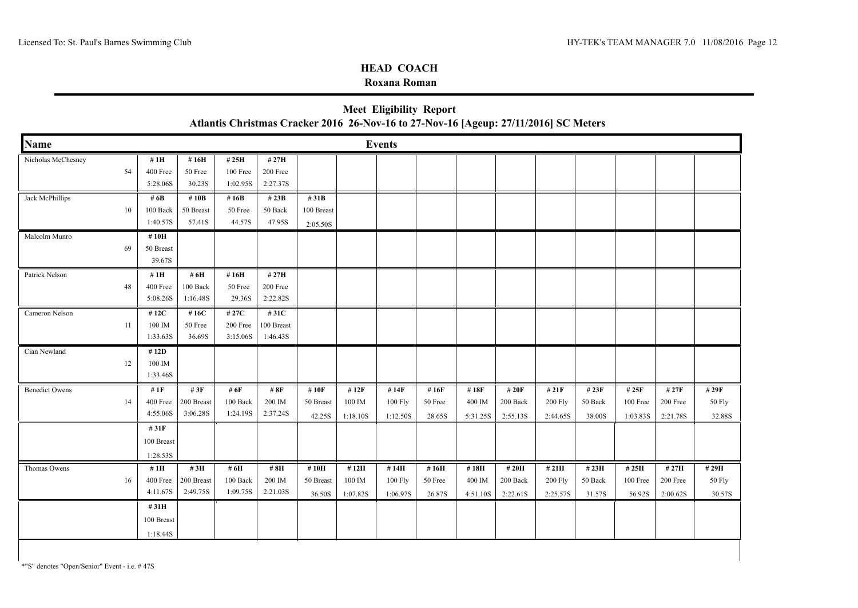### **Roxana Roman**

| Atlantis Christmas Cracker 2016 26-Nov-16 to 27-Nov-16 [Ageup: 27/11/2016] SC Meters |    |                                          |                                  |                               |                                |                                |                            |                             |                           |                            |                               |                              |                            |                               |                                           |                           |
|--------------------------------------------------------------------------------------|----|------------------------------------------|----------------------------------|-------------------------------|--------------------------------|--------------------------------|----------------------------|-----------------------------|---------------------------|----------------------------|-------------------------------|------------------------------|----------------------------|-------------------------------|-------------------------------------------|---------------------------|
| <b>Name</b>                                                                          |    | <b>Events</b>                            |                                  |                               |                                |                                |                            |                             |                           |                            |                               |                              |                            |                               |                                           |                           |
| Nicholas McChesney                                                                   | 54 | #1H<br>400 Free<br>5:28.06S              | #16H<br>50 Free<br>30.23S        | #25H<br>100 Free<br>1:02.95S  | # 27H<br>200 Free<br>2:27.37S  |                                |                            |                             |                           |                            |                               |                              |                            |                               |                                           |                           |
| Jack McPhillips                                                                      | 10 | # 6B<br>100 Back<br>1:40.57S             | #10B<br>50 Breast<br>57.41S      | # $16B$<br>50 Free<br>44.57S  | # 23B<br>50 Back<br>47.95S     | #31B<br>100 Breast<br>2:05.50S |                            |                             |                           |                            |                               |                              |                            |                               |                                           |                           |
| Malcolm Munro                                                                        | 69 | #10H<br>50 Breast<br>39.67S              |                                  |                               |                                |                                |                            |                             |                           |                            |                               |                              |                            |                               |                                           |                           |
| Patrick Nelson                                                                       | 48 | #1H<br>400 Free<br>5:08.26S              | # 6H<br>100 Back<br>1:16.48S     | #16H<br>50 Free<br>29.36S     | #27H<br>200 Free<br>2:22.82S   |                                |                            |                             |                           |                            |                               |                              |                            |                               |                                           |                           |
| Cameron Nelson                                                                       | 11 | #12C<br>100 IM<br>1:33.63S               | #16C<br>50 Free<br>36.69S        | # 27C<br>200 Free<br>3:15.06S | #31C<br>100 Breast<br>1:46.43S |                                |                            |                             |                           |                            |                               |                              |                            |                               |                                           |                           |
| Cian Newland                                                                         | 12 | #12D<br>100 IM<br>1:33.46S               |                                  |                               |                                |                                |                            |                             |                           |                            |                               |                              |                            |                               |                                           |                           |
| <b>Benedict Owens</b>                                                                | 14 | # $1F$<br>400 Free<br>4:55.06S           | # $3F$<br>200 Breast<br>3:06.28S | # 6F<br>100 Back<br>1:24.19S  | # $8F$<br>200 IM<br>2:37.24S   | #10F<br>50 Breast<br>42.25S    | #12F<br>100 IM<br>1:18.10S | #14F<br>100 Fly<br>1:12.50S | #16F<br>50 Free<br>28.65S | #18F<br>400 IM<br>5:31.25S | # 20F<br>200 Back<br>2:55.13S | # 21F<br>200 Fly<br>2:44.65S | # 23F<br>50 Back<br>38.00S | # 25F<br>100 Free<br>1:03.83S | # 27F<br>$200\,\mathrm{Free}$<br>2:21.78S | # 29F<br>50 Fly<br>32.88S |
|                                                                                      |    | #31F<br>100 Breast<br>1:28.53S           |                                  |                               |                                |                                |                            |                             |                           |                            |                               |                              |                            |                               |                                           |                           |
| Thomas Owens                                                                         | 16 | #1H<br>400 Free<br>4:11.67S              | #3H<br>200 Breast<br>2:49.75S    | # 6H<br>100 Back<br>1:09.75S  | #8H<br>200 IM<br>2:21.03S      | #10H<br>50 Breast<br>36.50S    | #12H<br>100 IM<br>1:07.82S | #14H<br>100 Fly<br>1:06.97S | #16H<br>50 Free<br>26.87S | #18H<br>400 IM<br>4:51.10S | # 20H<br>200 Back<br>2:22.61S | #21H<br>200 Fly<br>2:25.57S  | #23H<br>50 Back<br>31.57S  | #25H<br>100 Free<br>56.92S    | #27H<br>200 Free<br>2:00.62S              | #29H<br>50 Fly<br>30.57S  |
|                                                                                      |    | #31H<br>$100~\mathrm{Breat}$<br>1:18.44S |                                  |                               |                                |                                |                            |                             |                           |                            |                               |                              |                            |                               |                                           |                           |

**Meet Eligibility Report**